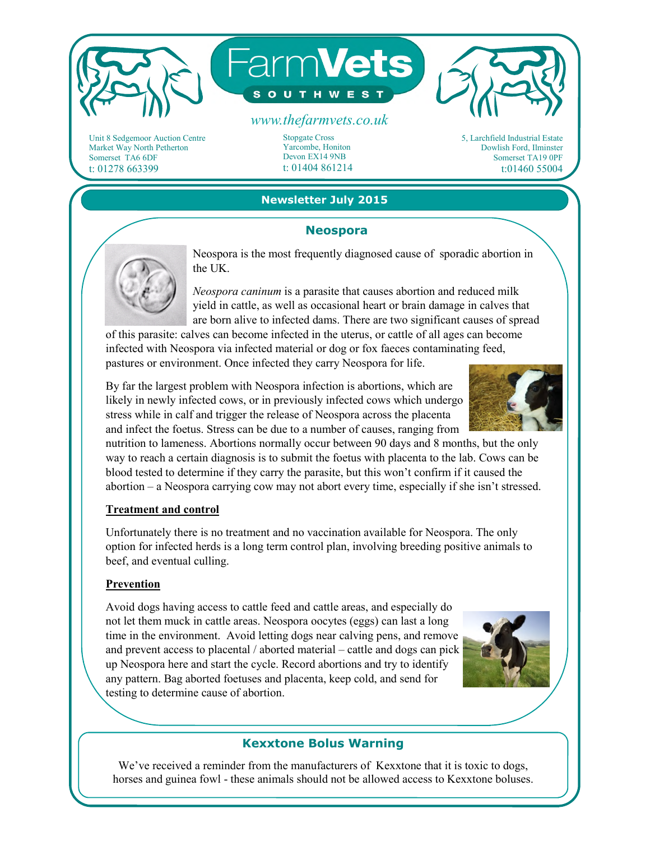

Unit 8 Sedgemoor Auction Centre Market Way North Petherton Somerset TA6 6DF t: 01278 663399

Stopgate Cross Yarcombe, Honiton Devon EX14 9NB t: 01404 861214

5, Larchfield Industrial Estate Dowlish Ford, Ilminster Somerset TA19 0PF t:01460 55004

## **Newsletter July 2015**

#### **Neospora**



Neospora is the most frequently diagnosed cause of sporadic abortion in the UK.

*Neospora caninum* is a parasite that causes abortion and reduced milk yield in cattle, as well as occasional heart or brain damage in calves that are born alive to infected dams. There are two significant causes of spread

of this parasite: calves can become infected in the uterus, or cattle of all ages can become infected with Neospora via infected material or dog or fox faeces contaminating feed, pastures or environment. Once infected they carry Neospora for life.

By far the largest problem with Neospora infection is abortions, which are likely in newly infected cows, or in previously infected cows which undergo stress while in calf and trigger the release of Neospora across the placenta and infect the foetus. Stress can be due to a number of causes, ranging from

nutrition to lameness. Abortions normally occur between 90 days and 8 months, but the only way to reach a certain diagnosis is to submit the foetus with placenta to the lab. Cows can be blood tested to determine if they carry the parasite, but this won't confirm if it caused the abortion – a Neospora carrying cow may not abort every time, especially if she isn't stressed.

#### **Treatment and control**

Unfortunately there is no treatment and no vaccination available for Neospora. The only option for infected herds is a long term control plan, involving breeding positive animals to beef, and eventual culling.

### **Prevention**

Avoid dogs having access to cattle feed and cattle areas, and especially do not let them muck in cattle areas. Neospora oocytes (eggs) can last a long time in the environment. Avoid letting dogs near calving pens, and remove and prevent access to placental / aborted material – cattle and dogs can pick up Neospora here and start the cycle. Record abortions and try to identify any pattern. Bag aborted foetuses and placenta, keep cold, and send for testing to determine cause of abortion.



# **Kexxtone Bolus Warning**

We've received a reminder from the manufacturers of Kexxtone that it is toxic to dogs, horses and guinea fowl - these animals should not be allowed access to Kexxtone boluses.